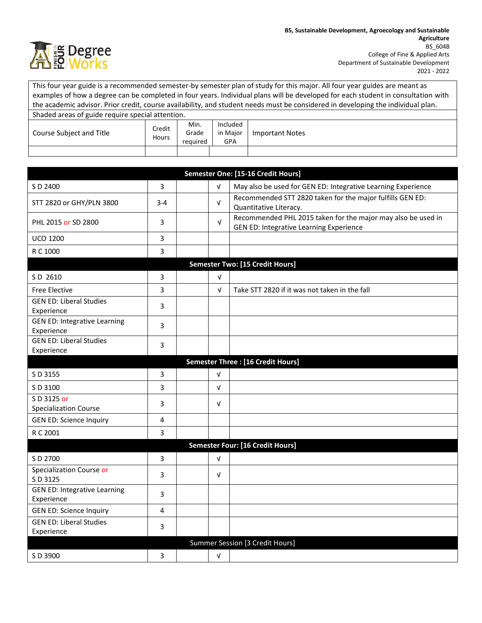

This four year guide is a recommended semester-by semester plan of study for this major. All four year guides are meant as examples of how a degree can be completed in four years. Individual plans will be developed for each student in consultation with the academic advisor. Prior credit, course availability, and student needs must be considered in developing the individual plan. Shaded areas of guide require special attention.

| Course Subject and Title | Credit<br>Hours | Min.<br>Grade | Included<br>in Maior | Important Notes |
|--------------------------|-----------------|---------------|----------------------|-----------------|
|                          |                 | required      | GPA                  |                 |
|                          |                 |               |                      |                 |

| Semester One: [15-16 Credit Hours]                |         |  |            |                                                                                                         |  |  |  |
|---------------------------------------------------|---------|--|------------|---------------------------------------------------------------------------------------------------------|--|--|--|
| S D 2400                                          | 3       |  | $\sqrt{ }$ | May also be used for GEN ED: Integrative Learning Experience                                            |  |  |  |
| STT 2820 or GHY/PLN 3800                          | $3 - 4$ |  | $\sqrt{ }$ | Recommended STT 2820 taken for the major fulfills GEN ED:<br>Quantitative Literacy.                     |  |  |  |
| PHL 2015 or SD 2800                               | 3       |  | V          | Recommended PHL 2015 taken for the major may also be used in<br>GEN ED: Integrative Learning Experience |  |  |  |
| <b>UCO 1200</b>                                   | 3       |  |            |                                                                                                         |  |  |  |
| R C 1000                                          | 3       |  |            |                                                                                                         |  |  |  |
| <b>Semester Two: [15 Credit Hours]</b>            |         |  |            |                                                                                                         |  |  |  |
| S D 2610                                          | 3       |  | V          |                                                                                                         |  |  |  |
| <b>Free Elective</b>                              | 3       |  | $\sqrt{ }$ | Take STT 2820 if it was not taken in the fall                                                           |  |  |  |
| <b>GEN ED: Liberal Studies</b><br>Experience      | 3       |  |            |                                                                                                         |  |  |  |
| <b>GEN ED: Integrative Learning</b><br>Experience | 3       |  |            |                                                                                                         |  |  |  |
| <b>GEN ED: Liberal Studies</b><br>Experience      | 3       |  |            |                                                                                                         |  |  |  |
|                                                   |         |  |            | <b>Semester Three: [16 Credit Hours]</b>                                                                |  |  |  |
| S D 3155                                          | 3       |  | $\sqrt{ }$ |                                                                                                         |  |  |  |
| S D 3100                                          | 3       |  | $\sqrt{ }$ |                                                                                                         |  |  |  |
| S D 3125 or<br><b>Specialization Course</b>       | 3       |  | $\sqrt{ }$ |                                                                                                         |  |  |  |
| <b>GEN ED: Science Inquiry</b>                    | 4       |  |            |                                                                                                         |  |  |  |
| R C 2001                                          | 3       |  |            |                                                                                                         |  |  |  |
|                                                   |         |  |            | Semester Four: [16 Credit Hours]                                                                        |  |  |  |
| S D 2700                                          | 3       |  | $\sqrt{ }$ |                                                                                                         |  |  |  |
| Specialization Course or<br>S D 3125              | 3       |  | $\sqrt{ }$ |                                                                                                         |  |  |  |
| <b>GEN ED: Integrative Learning</b><br>Experience | 3       |  |            |                                                                                                         |  |  |  |
| <b>GEN ED: Science Inquiry</b>                    | 4       |  |            |                                                                                                         |  |  |  |
| <b>GEN ED: Liberal Studies</b><br>Experience      | 3       |  |            |                                                                                                         |  |  |  |
| Summer Session [3 Credit Hours]                   |         |  |            |                                                                                                         |  |  |  |
| S D 3900                                          | 3       |  | $\sqrt{ }$ |                                                                                                         |  |  |  |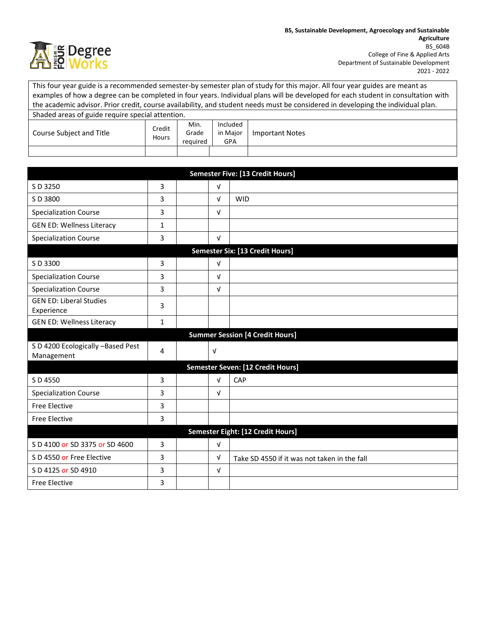

This four year guide is a recommended semester-by semester plan of study for this major. All four year guides are meant as examples of how a degree can be completed in four years. Individual plans will be developed for each student in consultation with the academic advisor. Prior credit, course availability, and student needs must be considered in developing the individual plan. Shaded areas of guide require special attention.

| Course Subject and Title | Credit<br>Hours | Min.<br>Grade<br>required | Included<br>in Maior<br>GPA | <b>Important Notes</b> |
|--------------------------|-----------------|---------------------------|-----------------------------|------------------------|
|                          |                 |                           |                             |                        |

| Semester Five: [13 Credit Hours]                |                                        |  |            |                                              |  |  |
|-------------------------------------------------|----------------------------------------|--|------------|----------------------------------------------|--|--|
| S D 3250                                        | 3                                      |  | $\sqrt{ }$ |                                              |  |  |
| S D 3800                                        | 3                                      |  | $\sqrt{ }$ | <b>WID</b>                                   |  |  |
| <b>Specialization Course</b>                    | 3                                      |  | $\sqrt{ }$ |                                              |  |  |
| <b>GEN ED: Wellness Literacy</b>                | $\mathbf{1}$                           |  |            |                                              |  |  |
| <b>Specialization Course</b>                    | 3                                      |  | $\sqrt{ }$ |                                              |  |  |
| Semester Six: [13 Credit Hours]                 |                                        |  |            |                                              |  |  |
| S D 3300                                        | 3                                      |  | $\sqrt{ }$ |                                              |  |  |
| <b>Specialization Course</b>                    | 3                                      |  | $\sqrt{ }$ |                                              |  |  |
| <b>Specialization Course</b>                    | 3                                      |  | $\sqrt{ }$ |                                              |  |  |
| <b>GEN ED: Liberal Studies</b><br>Experience    | 3                                      |  |            |                                              |  |  |
| <b>GEN ED: Wellness Literacy</b>                | $\mathbf{1}$                           |  |            |                                              |  |  |
|                                                 | <b>Summer Session [4 Credit Hours]</b> |  |            |                                              |  |  |
| S D 4200 Ecologically -Based Pest<br>Management | 4                                      |  | $\sqrt{ }$ |                                              |  |  |
| Semester Seven: [12 Credit Hours]               |                                        |  |            |                                              |  |  |
| S D 4550                                        | 3                                      |  | $\sqrt{ }$ | CAP                                          |  |  |
| <b>Specialization Course</b>                    | 3                                      |  | $\sqrt{ }$ |                                              |  |  |
| <b>Free Elective</b>                            | 3                                      |  |            |                                              |  |  |
| <b>Free Elective</b>                            | 3                                      |  |            |                                              |  |  |
| Semester Eight: [12 Credit Hours]               |                                        |  |            |                                              |  |  |
| S D 4100 or SD 3375 or SD 4600                  | 3                                      |  | $\sqrt{ }$ |                                              |  |  |
| S D 4550 or Free Elective                       | 3                                      |  | $\sqrt{ }$ | Take SD 4550 if it was not taken in the fall |  |  |
| S D 4125 or SD 4910                             | 3                                      |  | $\sqrt{ }$ |                                              |  |  |
| <b>Free Elective</b>                            | 3                                      |  |            |                                              |  |  |